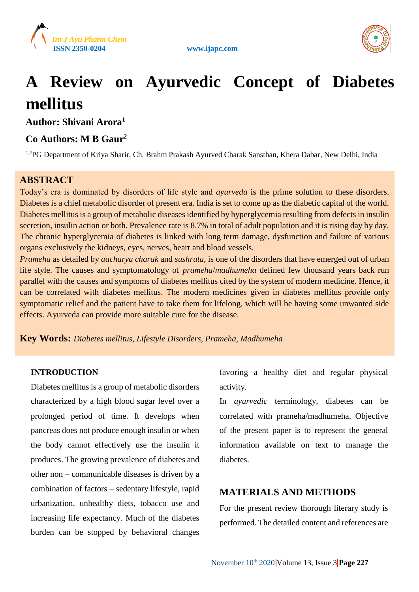





# **A Review on Ayurvedic Concept of Diabetes mellitus**

**Author: Shivani Arora<sup>1</sup>**

# **Co Authors: M B Gaur<sup>2</sup>**

<sup>1,2</sup>PG Department of Kriya Sharir, Ch. Brahm Prakash Ayurved Charak Sansthan, Khera Dabar, New Delhi, India

# **ABSTRACT**

Today's era is dominated by disorders of life style and *ayurveda* is the prime solution to these disorders. Diabetes is a chief metabolic disorder of present era. India is set to come up as the diabetic capital of the world. Diabetes mellitus is a group of metabolic diseases identified by hyperglycemia resulting from defects in insulin secretion, insulin action or both. Prevalence rate is 8.7% in total of adult population and it is rising day by day. The chronic hyperglycemia of diabetes is linked with long term damage, dysfunction and failure of various organs exclusively the kidneys, eyes, nerves, heart and blood vessels.

*Prameha* as detailed by *aacharya charak* and *sushruta*, is one of the disorders that have emerged out of urban life style. The causes and symptomatology of *prameha*/*madhumeha* defined few thousand years back run parallel with the causes and symptoms of diabetes mellitus cited by the system of modern medicine. Hence, it can be correlated with diabetes mellitus. The modern medicines given in diabetes mellitus provide only symptomatic relief and the patient have to take them for lifelong, which will be having some unwanted side effects. Ayurveda can provide more suitable cure for the disease.

**Key Words:** *Diabetes mellitus, Lifestyle Disorders, Prameha, Madhumeha*

## **INTRODUCTION**

Diabetes mellitus is a group of metabolic disorders characterized by a high blood sugar level over a prolonged period of time. It develops when pancreas does not produce enough insulin or when the body cannot effectively use the insulin it produces. The growing prevalence of diabetes and other non – communicable diseases is driven by a combination of factors – sedentary lifestyle, rapid urbanization, unhealthy diets, tobacco use and increasing life expectancy. Much of the diabetes burden can be stopped by behavioral changes

favoring a healthy diet and regular physical activity.

In *ayurvedic* terminology, diabetes can be correlated with prameha/madhumeha. Objective of the present paper is to represent the general information available on text to manage the diabetes.

# **MATERIALS AND METHODS**

For the present review thorough literary study is performed. The detailed content and references are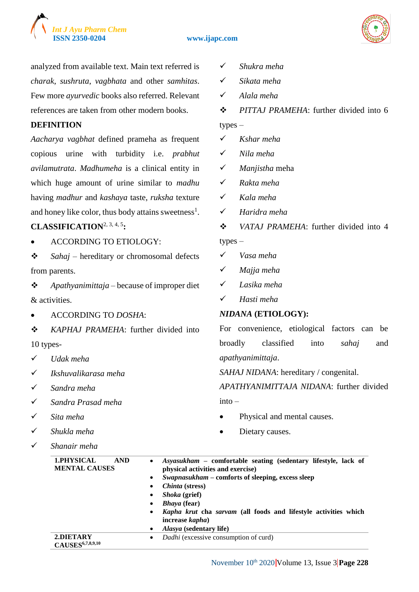

#### **ISSN 2350-0204 www.ijapc.com**



analyzed from available text. Main text referred is *charak*, *sushruta*, *vagbhata* and other *samhitas*. Few more *ayurvedic* books also referred. Relevant references are taken from other modern books.

## **DEFINITION**

*Aacharya vagbhat* defined prameha as frequent copious urine with turbidity i.e. *prabhut avilamutrata*. *Madhumeha* is a clinical entity in which huge amount of urine similar to *madhu* having *madhur* and *kashaya* taste, *ruksha* texture and honey like color, thus body attains sweetness<sup>1</sup>.

# **CLASSIFICATION**2, 3, 4, 5**:**

ACCORDING TO ETIOLOGY:

 *Sahaj* – hereditary or chromosomal defects from parents.

 *Apathyanimittaja* – because of improper diet & activities.

ACCORDING TO *DOSHA*:

 *KAPHAJ PRAMEHA*: further divided into 10 types-

- *Udak meha*
- *Ikshuvalikarasa meha*
- *Sandra meha*
- *Sandra Prasad meha*
- *Sita meha*
- *Shukla meha*
- *Shanair meha*
- *Shukra meha*
- *Sikata meha*
- *Alala meha*
- *PITTAJ PRAMEHA*: further divided into 6 types –
- *Kshar meha*
- *Nila meha*
- *Manjistha* meha
- *Rakta meha*
- *Kala meha*
- *Haridra meha*
- *VATAJ PRAMEHA*: further divided into 4 types –
- *Vasa meha*
- *Majja meha*
- *Lasika meha*
- *Hasti meha*

#### *NIDANA* **(ETIOLOGY):**

For convenience, etiological factors can be broadly classified into *sahaj* and *apathyanimittaja*.

*SAHAJ NIDANA*: hereditary / congenital.

*APATHYANIMITTAJA NIDANA*: further divided  $int_0$  –

- Physical and mental causes.
- Dietary causes.

| <b>1.PHYSICAL</b><br><b>AND</b><br><b>MENTAL CAUSES</b> | Asyasukham – comfortable seating (sedentary lifestyle, lack of<br>$\bullet$<br>physical activities and exercise) |
|---------------------------------------------------------|------------------------------------------------------------------------------------------------------------------|
|                                                         | <i>Swapnasukham</i> – comforts of sleeping, excess sleep<br>$\bullet$                                            |
|                                                         | <i>Chinta</i> (stress)<br>٠                                                                                      |
|                                                         | <i>Shoka</i> (grief)<br>٠                                                                                        |
|                                                         | <i>Bhaya</i> (fear)<br>٠                                                                                         |
|                                                         | Kapha krut cha sarvam (all foods and lifestyle activities which<br>$\bullet$                                     |
|                                                         | increase kapha)                                                                                                  |
|                                                         | Alasya (sedentary life)<br>$\bullet$                                                                             |
| 2.DIETARY                                               | <i>Dadhi</i> (excessive consumption of curd)<br>$\bullet$                                                        |
| <b>CAUSES</b> 6,7,8,9,10                                |                                                                                                                  |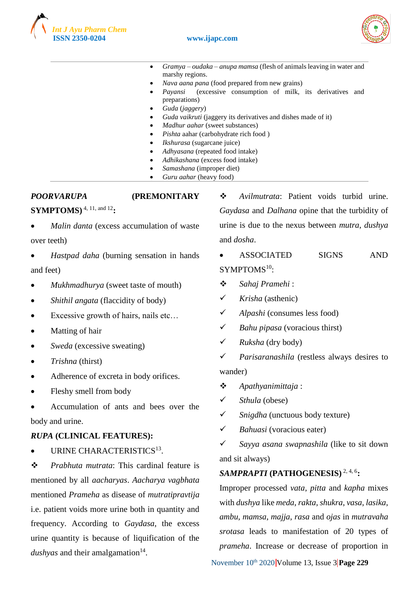



- *Gramya oudaka anupa mamsa* (flesh of animals leaving in water and marshy regions.
- *Nava aana pana* (food prepared from new grains)
- *Payansi* (excessive consumption of milk, its derivatives and preparations)
- *Guda* (*jaggery*)
- *Guda vaikruti* (jaggery its derivatives and dishes made of it)
- *Madhur aahar* (sweet substances)
- *Pishta* aahar (carbohydrate rich food )
- *Ikshurasa* (sugarcane juice)
- *Adhyasana* (repeated food intake)
- *Adhikashana* (excess food intake)
- *Samashana* (improper diet)
- *Guru aahar* (heavy food)

# *POORVARUPA* **(PREMONITARY**

**SYMPTOMS)** 4, 11, and 12**:**

- *Malin danta* (excess accumulation of waste over teeth)
- *Hastpad daha* (burning sensation in hands and feet)
- *Mukhmadhurya* (sweet taste of mouth)
- *Shithil angata* (flaccidity of body)
- Excessive growth of hairs, nails etc…
- Matting of hair
- *Sweda* (excessive sweating)
- *Trishna* (thirst)
- Adherence of excreta in body orifices.
- Fleshy smell from body
- Accumulation of ants and bees over the body and urine.

## *RUPA* **(CLINICAL FEATURES):**

• URINE CHARACTERISTICS<sup>13</sup>.

 *Prabhuta mutrata*: This cardinal feature is mentioned by all *aacharyas*. *Aacharya vagbhata* mentioned *Prameha* as disease of *mutratipravtija* i.e. patient voids more urine both in quantity and frequency. According to *Gaydasa*, the excess urine quantity is because of liquification of the *dushyas* and their amalgamation<sup>14</sup>.

 $\triangle$  *Avilmutrata*: Patient voids turbid urine. *Gaydasa* and *Dalhana* opine that the turbidity of urine is due to the nexus between *mutra*, *dushya* and *dosha*.

- ASSOCIATED SIGNS AND SYMPTOMS<sup>10</sup>:
- *Sahaj Pramehi* :
- *Krisha* (asthenic)
- *Alpashi* (consumes less food)
- *Bahu pipasa* (voracious thirst)
- *Ruksha* (dry body)

 *Parisaranashila* (restless always desires to wander)

- *Apathyanimittaja* :
- *Sthula* (obese)
- *Snigdha* (unctuous body texture)
- *Bahuasi* (voracious eater)
- *Sayya asana swapnashila* (like to sit down and sit always)

## *SAMPRAPTI* **(PATHOGENESIS)** 2, 4, 6**:**

Improper processed *vata*, *pitta* and *kapha* mixes with *dushya* like *meda*, *rakta*, *shukra*, *vasa*, *lasika*, *ambu*, *mamsa*, *majja*, *rasa* and *ojas* in *mutravaha srotasa* leads to manifestation of 20 types of *prameha*. Increase or decrease of proportion in

November 10<sup>th</sup> 2020 **Volume 13, Issue 3 Page 229**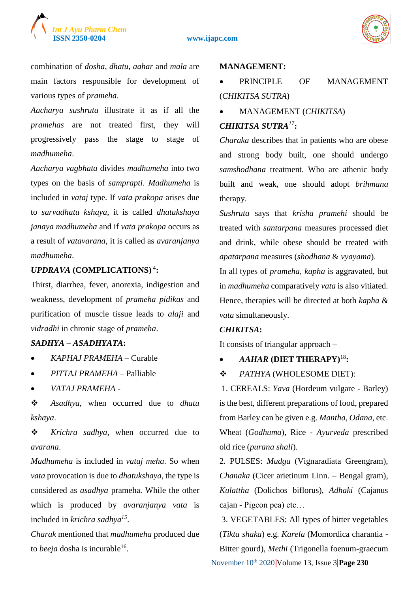

combination of *dosha*, *dhatu*, *aahar* and *mala* are main factors responsible for development of various types of *prameha*.

*Aacharya sushruta* illustrate it as if all the *pramehas* are not treated first, they will progressively pass the stage to stage of *madhumeha*.

*Aacharya vagbhata* divides *madhumeha* into two types on the basis of *samprapti*. *Madhumeha* is included in *vataj* type. If *vata prakopa* arises due to *sarvadhatu kshaya*, it is called *dhatukshaya janaya madhumeha* and if *vata prakopa* occurs as a result of *vatavarana*, it is called as *avaranjanya madhumeha*.

# *UPDRAVA* **(COMPLICATIONS)** <sup>4</sup> **:**

Thirst, diarrhea, fever, anorexia, indigestion and weakness, development of *prameha pidikas* and purification of muscle tissue leads to *alaji* and *vidradhi* in chronic stage of *prameha*.

# *SADHYA* **–** *ASADHYATA***:**

- *KAPHAJ PRAMEHA* Curable
- *PITTAJ PRAMEHA* Palliable
- *VATAJ PRAMEHA* -

 *Asadhya*, when occurred due to *dhatu kshaya*.

 *Krichra sadhya*, when occurred due to *avarana*.

*Madhumeha* is included in *vataj meha*. So when *vata* provocation is due to *dhatukshaya*, the type is considered as *asadhya* prameha. While the other which is produced by *avaranjanya vata* is included in *krichra sadhya<sup>15</sup>* .

*Charak* mentioned that *madhumeha* produced due to *beeja* dosha is incurable<sup>16</sup>.

#### **MANAGEMENT:**

- PRINCIPLE OF MANAGEMENT (*CHIKITSA SUTRA*)
- MANAGEMENT (*CHIKITSA*)

# *CHIKITSA SUTRA<sup>17</sup>***:**

*Charaka* describes that in patients who are obese and strong body built, one should undergo *samshodhana* treatment. Who are athenic body built and weak, one should adopt *brihmana* therapy.

*Sushruta* says that *krisha pramehi* should be treated with *santarpana* measures processed diet and drink, while obese should be treated with *apatarpana* measures (*shodhana* & *vyayama*). In all types of *prameha*, *kapha* is aggravated, but in *madhumeha* comparatively *vata* is also vitiated. Hence, therapies will be directed at both *kapha* &

# *vata* simultaneously. *CHIKITSA***:**

It consists of triangular approach –

# *AAHAR* **(DIET THERAPY)**<sup>18</sup>**:**

 $\div$  PATHYA (WHOLESOME DIET):

1. CEREALS: *Yava* (Hordeum vulgare - Barley) is the best, different preparations of food, prepared from Barley can be given e.g. *Mantha*, *Odana*, etc. Wheat (*Godhuma*), Rice - *Ayurveda* prescribed old rice (*purana shali*).

2. PULSES: *Mudga* (Vignaradiata Greengram), *Chanaka* (Cicer arietinum Linn. – Bengal gram), *Kulattha* (Dolichos biflorus), *Adhaki* (Cajanus cajan - Pigeon pea) etc…

November 10<sup>th</sup> 2020 **Volume 13, Issue 3 Page 230** 3. VEGETABLES: All types of bitter vegetables (*Tikta shaka*) e.g. *Karela* (Momordica charantia - Bitter gourd), *Methi* (Trigonella foenum-graecum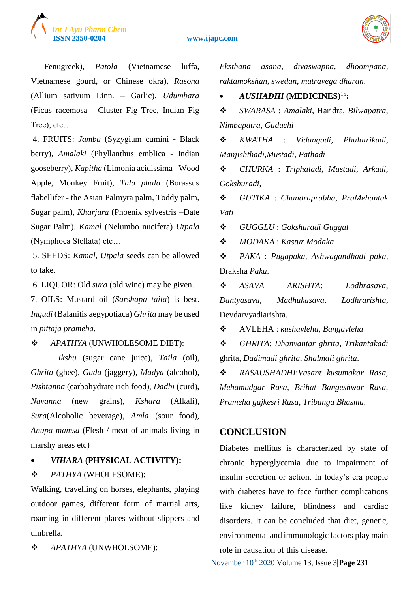

#### **ISSN 2350-0204 www.ijapc.com**



- Fenugreek), *Patola* (Vietnamese luffa, Vietnamese gourd, or Chinese okra), *Rasona* (Allium sativum Linn. – Garlic), *Udumbara* (Ficus racemosa - Cluster Fig Tree, Indian Fig Tree), etc…

4. FRUITS: *Jambu* (Syzygium cumini - Black berry), *Amalaki* (Phyllanthus emblica - Indian gooseberry), *Kapitha* (Limonia acidissima - Wood Apple, Monkey Fruit), *Tala phala* (Borassus flabellifer - the Asian Palmyra palm, Toddy palm, Sugar palm), *Kharjura* (Phoenix sylvestris –Date Sugar Palm), *Kamal* (Nelumbo nucifera) *Utpala* (Nymphoea Stellata) etc…

5. SEEDS: *Kamal*, *Utpala* seeds can be allowed to take.

6. LIQUOR: Old *sura* (old wine) may be given.

7. OILS: Mustard oil (*Sarshapa taila*) is best. *Ingudi* (Balanitis aegypotiaca) *Ghrita* may be used in *pittaja prameha*.

*APATHYA* (UNWHOLESOME DIET):

 *Ikshu* (sugar cane juice), *Taila* (oil), *Ghrita* (ghee), *Guda* (jaggery), *Madya* (alcohol), *Pishtanna* (carbohydrate rich food), *Dadhi* (curd), *Navanna* (new grains), *Kshara* (Alkali), *Sura*(Alcoholic beverage), *Amla* (sour food), *Anupa mamsa* (Flesh / meat of animals living in marshy areas etc)

## *VIHARA* **(PHYSICAL ACTIVITY):**

#### *PATHYA* (WHOLESOME):

Walking, travelling on horses, elephants, playing outdoor games, different form of martial arts, roaming in different places without slippers and umbrella.

 $\div$  APATHYA (UNWHOLSOME):

*Eksthana asana*, *divaswapna*, *dhoompana*, *raktamokshan*, *swedan*, *mutravega dharan*.

*AUSHADHI* **(MEDICINES)**<sup>15</sup>**:**

 *SWARASA* : *Amalaki*, Haridra, *Bilwapatra*, *Nimbapatra*, *Guduchi*

 *KWATHA* : *Vidangadi*, *Phalatrikadi*, *Manjishthadi*,*Mustadi*, *Pathadi*

 *CHURNA* : *Triphaladi*, *Mustadi*, *Arkadi*, *Gokshuradi*,

 *GUTIKA* : *Chandraprabha*, *PraMehantak Vati*

*GUGGLU* : *Gokshuradi Guggul*

*MODAKA* : *Kastur Modaka*

 *PAKA* : *Pugapaka*, *Ashwagandhadi paka*, Draksha *Paka*.

 *ASAVA ARISHTA*: *Lodhrasava*, *Dantyasava*, *Madhukasava*, *Lodhrarishta*, Devdarvyadiarishta.

AVLEHA : *kushavleha*, *Bangavleha*

 *GHRITA*: *Dhanvantar ghrita*, *Trikantakadi* ghrita, *Dadimadi ghrita*, *Shalmali ghrita*.

 *RASAUSHADHI*:*Vasant kusumakar Rasa*, *Mehamudgar Rasa*, *Brihat Bangeshwar Rasa*, *Prameha gajkesri Rasa*, *Tribanga Bhasma*.

## **CONCLUSION**

Diabetes mellitus is characterized by state of chronic hyperglycemia due to impairment of insulin secretion or action. In today's era people with diabetes have to face further complications like kidney failure, blindness and cardiac disorders. It can be concluded that diet, genetic, environmental and immunologic factors play main role in causation of this disease.

November 10<sup>th</sup> 2020 Volume 13, Issue 3 **Page 231**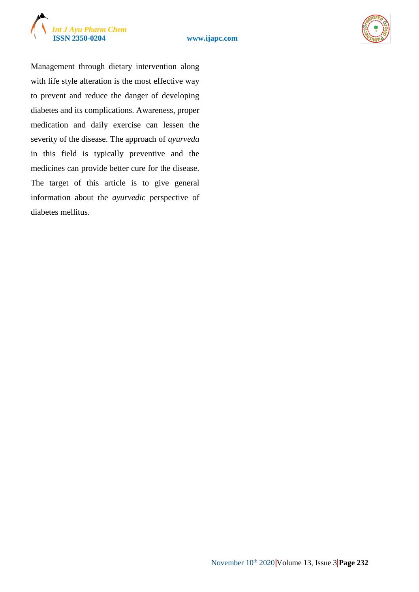





Management through dietary intervention along with life style alteration is the most effective way to prevent and reduce the danger of developing diabetes and its complications. Awareness, proper medication and daily exercise can lessen the severity of the disease. The approach of *ayurveda* in this field is typically preventive and the medicines can provide better cure for the disease. The target of this article is to give general information about the *ayurvedic* perspective of diabetes mellitus.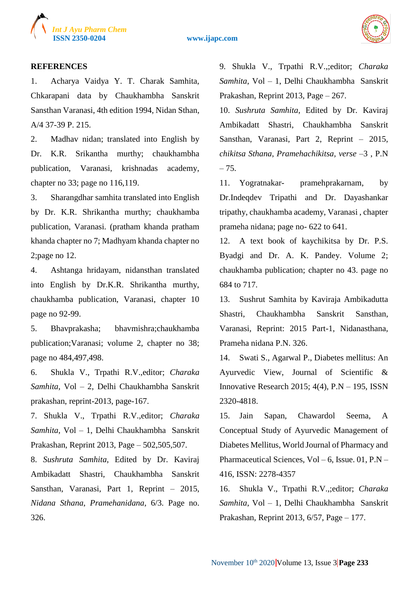

**ISSN 2350-0204 www.ijapc.com**



#### **REFERENCES**

1. Acharya Vaidya Y. T. Charak Samhita, Chkarapani data by Chaukhambha Sanskrit Sansthan Varanasi, 4th edition 1994, Nidan Sthan, A/4 37-39 P. 215.

2. Madhav nidan; translated into English by Dr. K.R. Srikantha murthy; chaukhambha publication, Varanasi, krishnadas academy, chapter no 33; page no 116,119.

3. Sharangdhar samhita translated into English by Dr. K.R. Shrikantha murthy; chaukhamba publication, Varanasi. (pratham khanda pratham khanda chapter no 7; Madhyam khanda chapter no 2;page no 12.

4. Ashtanga hridayam, nidansthan translated into English by Dr.K.R. Shrikantha murthy, chaukhamba publication, Varanasi, chapter 10 page no 92-99.

5. Bhavprakasha; bhavmishra;chaukhamba publication;Varanasi; volume 2, chapter no 38; page no 484,497,498.

6. Shukla V., Trpathi R.V.,editor; *Charaka Samhita*, Vol – 2, Delhi Chaukhambha Sanskrit prakashan, reprint-2013, page-167.

7. Shukla V., Trpathi R.V.,editor; *Charaka Samhita*, Vol – 1, Delhi Chaukhambha Sanskrit Prakashan, Reprint 2013, Page – 502,505,507.

8. *Sushruta Samhita*, Edited by Dr. Kaviraj Ambikadatt Shastri, Chaukhambha Sanskrit Sansthan, Varanasi, Part 1, Reprint – 2015, *Nidana Sthana*, *Pramehanidana*, 6/3. Page no. 326.

9. Shukla V., Trpathi R.V.,;editor; *Charaka Samhita*, Vol – 1, Delhi Chaukhambha Sanskrit Prakashan, Reprint 2013, Page – 267.

10. *Sushruta Samhita*, Edited by Dr. Kaviraj Ambikadatt Shastri, Chaukhambha Sanskrit Sansthan, Varanasi, Part 2, Reprint – 2015, *chikitsa Sthana*, *Pramehachikitsa, verse –*3 , P.N  $-75.$ 

11. Yogratnakar- pramehprakarnam, by Dr.Indeqdev Tripathi and Dr. Dayashankar tripathy, chaukhamba academy, Varanasi , chapter prameha nidana; page no- 622 to 641.

12. A text book of kaychikitsa by Dr. P.S. Byadgi and Dr. A. K. Pandey. Volume 2; chaukhamba publication; chapter no 43. page no 684 to 717.

13. Sushrut Samhita by Kaviraja Ambikadutta Shastri, Chaukhambha Sanskrit Sansthan, Varanasi, Reprint: 2015 Part-1, Nidanasthana, Prameha nidana P.N. 326.

14. Swati S., Agarwal P., Diabetes mellitus: An Ayurvedic View, Journal of Scientific & Innovative Research 2015;  $4(4)$ ,  $P.N - 195$ , ISSN 2320-4818.

15. Jain Sapan, Chawardol Seema, A Conceptual Study of Ayurvedic Management of Diabetes Mellitus, World Journal of Pharmacy and Pharmaceutical Sciences, Vol – 6, Issue. 01, P.N – 416, ISSN: 2278-4357

16. Shukla V., Trpathi R.V.,;editor; *Charaka Samhita*, Vol – 1, Delhi Chaukhambha Sanskrit Prakashan, Reprint 2013, 6/57, Page – 177.